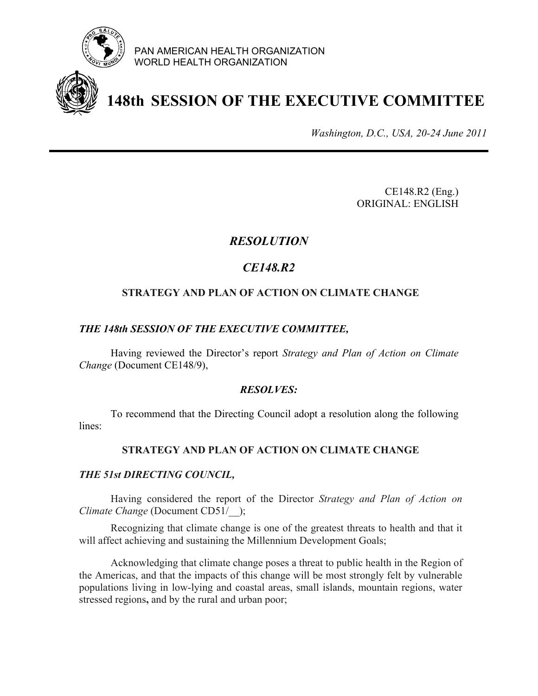

PAN AMERICAN HEALTH ORGANIZATION WORLD HEALTH ORGANIZATION

# **148th SESSION OF THE EXECUTIVE COMMITTEE**

*Washington, D.C., USA, 20-24 June 2011*

 CE148.R2 (Eng.) ORIGINAL: ENGLISH

## *RESOLUTION*

# *CE148.R2*

### **STRATEGY AND PLAN OF ACTION ON CLIMATE CHANGE**

#### *THE 148th SESSION OF THE EXECUTIVE COMMITTEE,*

 Having reviewed the Director's report *Strategy and Plan of Action on Climate Change* (Document CE148/9),

#### *RESOLVES:*

 To recommend that the Directing Council adopt a resolution along the following lines:

#### **STRATEGY AND PLAN OF ACTION ON CLIMATE CHANGE**

#### *THE 51st DIRECTING COUNCIL,*

Having considered the report of the Director *Strategy and Plan of Action on Climate Change* (Document CD51/ );

Recognizing that climate change is one of the greatest threats to health and that it will affect achieving and sustaining the Millennium Development Goals;

Acknowledging that climate change poses a threat to public health in the Region of the Americas, and that the impacts of this change will be most strongly felt by vulnerable populations living in low-lying and coastal areas, small islands, mountain regions, water stressed regions**,** and by the rural and urban poor;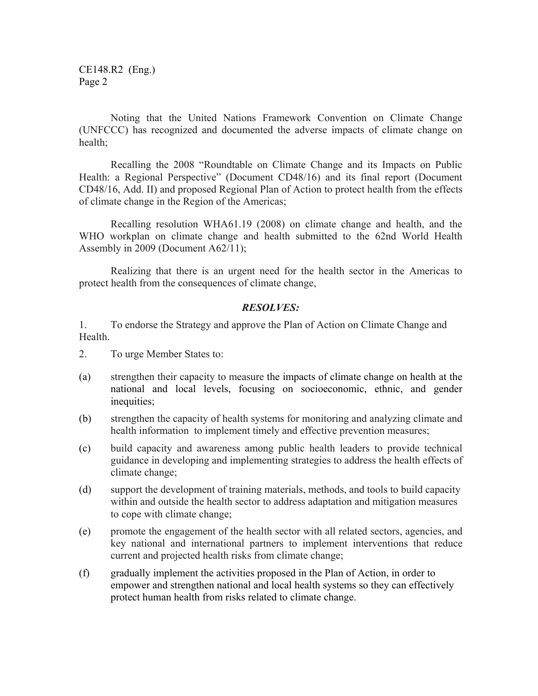CE148.R2 (Eng.) Page 2

Noting that the United Nations Framework Convention on Climate Change (UNFCCC) has recognized and documented the adverse impacts of climate change on health;

Recalling the 2008 "Roundtable on Climate Change and its Impacts on Public Health: a Regional Perspective" (Document CD48/16) and its final report (Document CD48/16, Add. II) and proposed Regional Plan of Action to protect health from the effects of climate change in the Region of the Americas;

Recalling resolution WHA61.19 (2008) on climate change and health, and the WHO workplan on climate change and health submitted to the 62nd World Health Assembly in 2009 (Document A62/11);

Realizing that there is an urgent need for the health sector in the Americas to protect health from the consequences of climate change,

#### *RESOLVES:*

1. To endorse the Strategy and approve the Plan of Action on Climate Change and **Health** 

- 2. To urge Member States to:
- (a) strengthen their capacity to measure the impacts of climate change on health at the national and local levels, focusing on socioeconomic, ethnic, and gender inequities;
- (b) strengthen the capacity of health systems for monitoring and analyzing climate and health information to implement timely and effective prevention measures;
- (c) build capacity and awareness among public health leaders to provide technical guidance in developing and implementing strategies to address the health effects of climate change;
- (d) support the development of training materials, methods, and tools to build capacity within and outside the health sector to address adaptation and mitigation measures to cope with climate change;
- (e) promote the engagement of the health sector with all related sectors, agencies, and key national and international partners to implement interventions that reduce current and projected health risks from climate change;
- (f) gradually implement the activities proposed in the Plan of Action, in order to empower and strengthen national and local health systems so they can effectively protect human health from risks related to climate change.